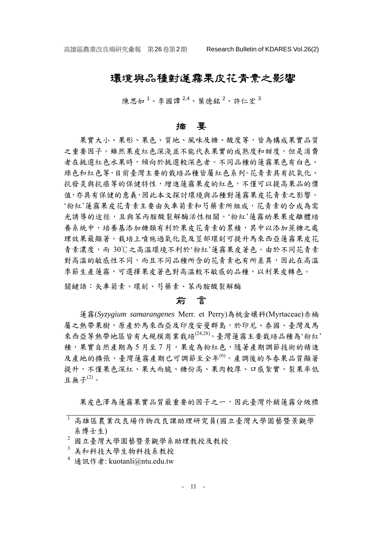# 環境與品種對蓮霧果皮花青素之影響

陳思如<sup>1</sup>、李國譚<sup>2,4</sup>、葉德銘<sup>2</sup>、許仁宏<sup>3</sup>

#### 摘 要

果實大小、果形、果色、質地、風味及糖、酸度等,皆為構成果實品質 之重要因子。雖然果皮紅色深淺並不能代表果實的成熟度和甜度,但是消費 者在挑選紅色水果時,傾向於挑選較深色者。不同品種的蓮霧果色有白色、 綠色和紅色等,目前臺灣主要的栽培品種皆屬紅色系列。花青素具有抗氧化、 抗發炎與抗癌等的保健特性,增進蓮霧果皮的紅色,不僅可以提高果品的價 值,亦具有保健的意義,因此本文探討環境與品種對蓮霧果皮花青素之影響。 '粉紅'蓮霧果皮花青素主要由矢車菊素和芍藥素所組成,花青素的合成為需 光誘導的途徑,且與苯丙胺酸裂解酶活性相關。'粉紅'蓮霧幼果果皮離體培 養系統中,培養基添加糖類有利於果皮花青素的累積,其中以添加蔗糖之處 理效果最顯著。栽培上噴施過氧化氫及莖部環刻可提升馬來西亞蓮霧果皮花 青素濃度,而 30℃之高溫環境不利於'粉紅'蓮霧果皮著色。由於不同花青素 對高溫的敏感性不同,而且不同品種所含的花青素也有所差異,因此在高溫 季節生產蓮霧,可選擇果皮著色對高溫較不敏感的品種,以利果皮轉色。

關鍵語:矢車菊素、環刻、芍藥素、苯丙胺酸裂解酶

# 前言

蓮霧(*Syzygium samarangenes* Merr. et Perry)為桃金孃科(Myrtaceae)赤楠 屬之熱帶果樹,原產於馬來西亞及印度安曼群島,於印尼、泰國、臺灣及馬 來西亞等熱帶地區皆有大規模商業栽培(24,28)。臺灣蓮霧主要栽培品種為'粉紅' 種,果實自然產期為 5 月至 7 月,果皮為粉紅色,隨著產期調節技術的精進 及產地的擴張,臺灣蓮霧產期已可調節至全年<sup>(6)</sup>。產調後的冬春果品質顯著 提升,不僅果色深紅、果大而脆、糖份高、果肉較厚、口感紮實、裂果率低 日血子 $^{(2)}$ 。

果皮色澤為蓮霧果實品質最重要的因子之一,因此臺灣外銷蓮霧分級標

<sup>1</sup> 高雄區農業改良場作物改良課助理研究員(國立臺灣大學園藝暨景觀學 系博士生)

<sup>2</sup> 國立臺灣大學園藝暨景觀學系助理教授及教授

<sup>3</sup> 美和科技大學生物科技系教授

<sup>&</sup>lt;sup>4</sup> 通訊作者: kuotanli@ntu.edu.tw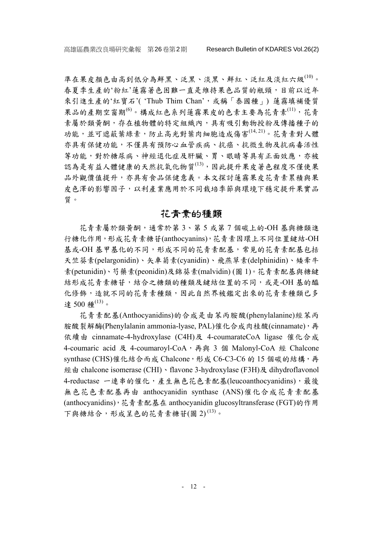準在果皮顏色由高到低分為鮮黑、泛黑、淡黑、鮮紅、泛紅及淡紅六級(10)。 春夏季生產的'粉紅'蓮霧著色困難一直是維持果色品質的瓶頸,目前以近年 來引進生產的'紅寶石'('Thub Thim Chan',或稱「泰國種」) 蓮霧填補優質 果品的產期空窗期<sup>(6)</sup>。構成紅色系列蓮霧果皮的色素主要為花青素<sup>(11)</sup>,花青 素屬於類黃酮,存在植物體的特定組織內,具有吸引動物授粉及傳播種子的 功能,並可遮蔽葉綠素,防止高光對葉肉細胞造成傷害(14,21)。花青素對人體 亦具有保健功能,不僅具有預防心血管疾病、抗癌、抗微生物及抗病毒活性 等功能,對於糖尿病、神經退化症及肝臟、胃、眼睛等具有正面效應,亦被 認為是有益人體健康的天然抗氧化物質(13),因此提升果皮著色程度不僅使果 品外觀價值提升,亦具有食品保健意義。本文探討蓮霧果皮花青素累積與果 皮色澤的影響因子,以利產業應用於不同栽培季節與環境下穩定提升果實品 質。

## 花青素的種類

花青素屬於類黃酮,通常於第 3、第 5 或第 7 個碳上的-OH 基與糖類進 行糖化作用,形成花青素糖苷(anthocyanins),花青素因環上不同位置鍵結-OH 基或-OH 基甲基化的不同,形成不同的花青素配基,常見的花青素配基包括 天竺葵素(pelargonidin)、矢車菊素(cyanidin)、飛燕草素(delphinidin)、矮牽牛 素(petunidin)、芍藥素(peonidin)及錦葵素(malvidin) (圖 1)。花青素配基與糖鍵 結形成花青素糖苷,結合之糖類的種類及鍵結位置的不同,或是-OH 基的醯 化修飾,造就不同的花青素種類,因此自然界被鑑定出來的花青素種類已多 達 500 種 $(13)$ 。

花青素配基(Anthocyanidins)的合成是由苯丙胺酸(phenylalanine)經苯丙 胺酸裂解酶(Phenylalanin ammonia-lyase, PAL)催化合成肉桂酸(cinnamate), 再 依續由 cinnamate-4-hydroxylase (C4H)及 4-coumarateCoA ligase 催化合成 4-coumaric acid 及 4-coumaroyl-CoA,再與 3 個 Malonyl-CoA 經 Chalcone synthase (CHS)催化結合而成 Chalcone,形成 C6-C3-C6 的 15 個碳的結構,再 經由 chalcone isomerase (CHI)、flavone 3-hydroxylase (F3H)及 dihydroflavonol 4-reductase 一連串的催化,產生無色花色素配基(leucoanthocyanidins),最後 無色花色素配基再由 anthocyanidin synthase (ANS)催化合成花青素配基 (anthocyanidins),花青素配基在 anthocyanidin glucosyltransferase (FGT)的作用 下與糖結合,形成呈色的花青素糖苷(圖 2)<sup>(13)</sup>。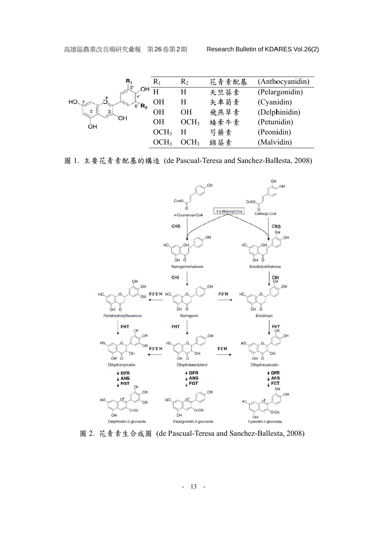| R<br>3              | $\rm R_1$        | $R_2$            | 花青素配基 | (Anthocyanidin) |
|---------------------|------------------|------------------|-------|-----------------|
| HO<br>$R_{2}$<br>5' |                  | H                | 天竺葵素  | (Pelargonidin)  |
|                     | OН               | H                | 矢車菊素  | (Cyanidin)      |
|                     | OН               | <b>OH</b>        | 飛燕草素  | (Delphinidin)   |
| DН<br>OH            | OН               | OCH <sub>3</sub> | 矮牽牛素  | (Petunidin)     |
|                     | OCH <sub>3</sub> | н                | 芍藥素   | (Peonidin)      |
|                     |                  | OCH3             | 錦葵素   | (Malvidin)      |

圖 1. 主要花青素配基的構造 (de Pascual-Teresa and Sanchez-Ballesta, 2008)



圖 2. 花青素生合成圖 (de Pascual-Teresa and Sanchez-Ballesta, 2008)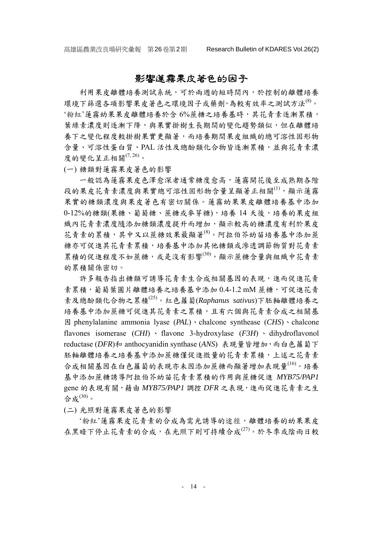# 影響蓮霧果皮著色的因子

利用果皮離體培養測試系統,可於兩週的短時間內,於控制的離體培養 環境下篩選各項影響果皮著色之環境因子或藥劑,為較有效率之測試方法(8)。 '粉紅'蓮霧幼果果皮離體培養於含 6%蔗糖之培養基時,其花青素逐漸累積, 葉綠素濃度則逐漸下降,與果實掛樹生長期間的變化趨勢類似,但在離體培 養下之變化程度較掛樹果實更顯著,而培養期間果皮組織的總可溶性固形物 含量、可溶性蛋白質、PAL 活性及總酚類化合物皆逐漸累積,並與花青素濃 度的變化呈正相關 $(7, 26)$ 。

(一) 糖類對蓮霧果皮著色的影響

一般認為蓮霧果皮色澤愈深者通常糖度愈高,蓮霧開花後至成熟期各階 段的果皮花青素濃度與果實總可溶性固形物含量呈顯著正相關(1),顯示蓮霧 果實的糖類濃度與果皮著色有密切關係。蓮霧幼果果皮離體培養基中添加 0-12%的糖類(果糖、葡萄糖、蔗糖或麥芽糖),培養14天後,培養的果皮組 織內花青素濃度隨添加糖類濃度提升而增加,顯示較高的糖濃度有利於果皮 花青素的累積,其中又以蔗糖效果最顯著(8)。阿拉伯芥幼苗培養基中添加蔗 糖亦可促進其花青素累積,培養基中添加其他糖類或滲透調節物質對花青素 累積的促進程度不如蔗糖,或是沒有影響(30),顯示蔗糖含量與組織中花青素 的累積關係密切。

許多報告指出糖類可誘導花青素生合成相關基因的表現,進而促進花青 素累積,葡萄葉圓片離體培養之培養基中添加 0.4-1.2 mM 蔗糖,可促進花青 素及總酚類化合物之累積(25)。紅色蘿蔔(*Raphanus sativus*)下胚軸離體培養之 培養基中添加蔗糖可促進其花青素之累積,且有六個與花青素合成之相關基 因 phenylalanine ammonia lyase (*PAL*)、chalcone synthease (*CHS*)、chalcone flavones isomerase (*CHI*) 、 flavone 3-hydroxylase (*F3H*) 、 dihydroflavonol reductase (*DFR*)和 anthocyanidin synthase (ANS) 表現量皆增加, 而白色蘿蔔下 胚軸離體培養之培養基中添加蔗糖僅促進微量的花青素累積,上述之花青素 合成相關基因在白色蘿蔔的表現亦未因添加蔗糖而顯著增加表現量(16)。培養 基中添加蔗糖誘導阿拉伯芥幼苗花青素累積的作用與蔗糖促進 *MYB75/PAP1* gene 的表現有關,藉由 *MYB75/PAP1* 調控 *DFR* 之表現,進而促進花青素之生 合成(30)。

(二) 光照對蓮霧果皮著色的影響

'粉紅'蓮霧果皮花青素的合成為需光誘導的途徑,離體培養的幼果果皮 在黑暗下停止花青素的合成,在光照下則可持續合成<sup>(27)</sup>。於冬季或陰雨日較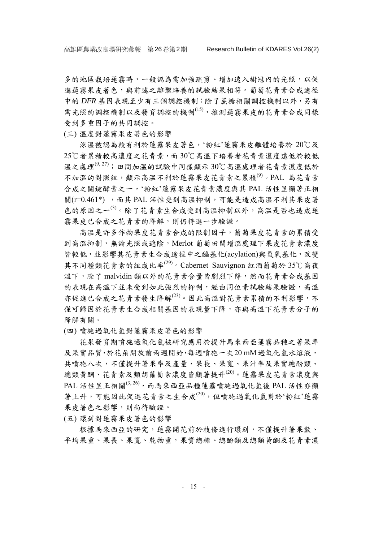多的地區栽培蓮霧時,一般認為需加強疏剪、增加透入樹冠內的光照,以促 進蓮霧果皮著色,與前述之離體培養的試驗結果相符。葡萄花青素合成途徑 中的 *DFR* 基因表現至少有三個調控機制:除了蔗糖相關調控機制以外,另有 需光照的調控機制以及發育調控的機制(15),推測蓮霧果皮的花青素合成同樣 受到多重因子的共同調控。

(三) 溫度對蓮霧果皮著色的影響

涼溫被認為較有利於蓮霧果皮著色,'粉紅'蓮霧果皮離體培養於 20℃及 25℃者累積較高濃度之花青素,而 30℃高溫下培養者花青素濃度遠低於較低 溫之處理<sup>(9, 27)</sup>;田間加溫的試驗中同樣顯示 30℃高溫處理者花青素濃度低於 不加溫的對照組,顯示高溫不利於蓮霧果皮花青素之累積<sup>(9)</sup>。PAL 為花青素 合成之關鍵酵素之一,'粉紅'蓮霧果皮花青素濃度與其 PAL 活性呈顯著正相 關(r=0.461\*) ,而其 PAL 活性受到高溫抑制,可能是造成高溫不利其果皮著 色的原因之一(3)。除了花青素生合成受到高溫抑制以外,高溫是否也造成蓮 霧果皮已合成之花青素的降解,則仍待進一步驗證。

高溫是許多作物果皮花青素合成的限制因子,葡萄果皮花青素的累積受 到高溫抑制,無論光照或遮陰,Merlot 葡萄田間增溫處理下果皮花青素濃度 皆較低,並影響其花青素生合成途徑中之醯基化(acylation)與氫氧基化,改變 其不同種類花青素的組成比率(29)。Cabernet Sauvignon 紅酒葡萄於 35℃高夜 溫下,除了 malvidin 類以外的花青素含量皆劇烈下降,然而花青素合成基因 的表現在高溫下並未受到如此強烈的抑制,經由同位素試驗結果驗證,高溫 亦促進已合成之花青素發生降解(23)。因此高溫對花青素累積的不利影響,不 僅可歸因於花青素生合成相關基因的表現量下降,亦與高溫下花青素分子的 降解有關。

(四) 噴施過氧化氫對蓮霧果皮著色的影響

花果發育期噴施過氧化氫被研究應用於提升馬來西亞蓮霧品種之著果率 及果實品質,於花朵開放前兩週開始,每週噴施一次20 mM 過氧化氫水溶液, 共噴施八次,不僅提升著果率及產量,果長、果寬、果汁率及果實總酚類、 總類黃酮、花青素及類胡蘿蔔素濃度皆顯著提升(20)。蓮霧果皮花青素濃度與 PAL 活性呈正相關 $^{(3,26)}$ , 而馬來西亞品種蓮霧噴施過氧化氫後 PAL 活性亦顯 著上升,可能因此促進花青素之生合成<sup>(20)</sup>,但噴施過氧化氫對於'粉紅'蓮霧 果皮著色之影響,則尚待驗證。

(五) 環刻對蓮霧果皮著色的影響

根據馬來西亞的研究,蓮霧開花前於枝條進行環刻,不僅提升著果數、 平均果重、果實、乾物重,果實總糖、總酚類及總類黃酮及花青素濃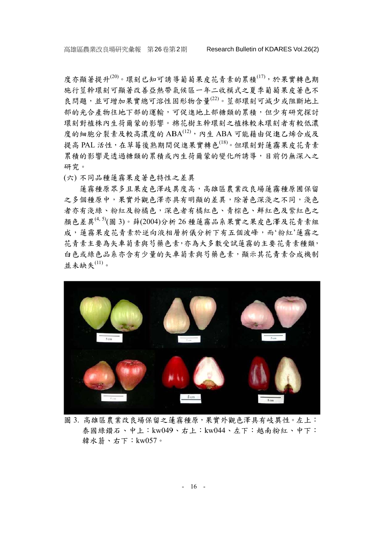度亦顯著提升<sup>(20)</sup>。環刻已知可誘導葡萄果皮花青素的累積<sup>(17)</sup>,於果實轉色期 施行莖幹環刻可顯著改善亞熱帶氣候區一年二收模式之夏季葡萄果皮著色不 良問題,並可增加果實總可溶性固形物含量<sup>(22)</sup>。莖部環刻可減少或阻斷地上 部的光合產物往地下部促進地上部糖類的累積,但少有研究探討 環刻對植株內生荷爾蒙的影響。棉花樹主幹環刻之植株較未環刻者有較低濃 度的細胞分裂素及較高濃度的 ABA(12), 內生 ABA 可能藉由促進乙烯合成及 提高 PAL 活性, 在草莓後熟期間促進果實轉色<sup>(18)</sup>。但環刻對蓮霧果皮花青素 累積的影響是透過糖類的累積或內生荷爾蒙的變化所誘導,目前仍無深入之 研 研究。

(六 ) 不同品種 種蓮霧果皮 皮著色特性之 之差異

之多個種原中,果實外觀色澤亦具有明顯的差異,除著色深淺之不同,淺色 者亦有淺綠、粉紅及粉橘色,深色者有橘紅色、青棕色、鮮紅色及紫紅色之 顏色差異<sup>(4, 5)</sup>(圖 3)。薛(2004)分析 26 種蓮霧品系果實之果皮色澤及花青素組 成, 蓮霧果皮花青素於逆向液相層析儀分析下有五個波峰, 而'粉紅'蓮霧之 花青素主要為矢車菊素與芍藥色素,亦為大多數受試蓮霧的主要花青素種類, 白色或綠色品系亦含有少量的矢車菊素與芍藥色素,顯示其花青素合成機制 並未缺失 $^{(11)}$ 。 道霧種原眾多且果皮色異度高,高雄區農業改良場蓮霧種原圃保留



圖 3. 高雄區農業改良場保留之蓮霧種原,果實外觀色澤具有岐異性。左上: 泰國綠鑽石、中上:kw049、右上:kw044、左下:越南粉紅、中下: 韓水蓊、右下: kw057。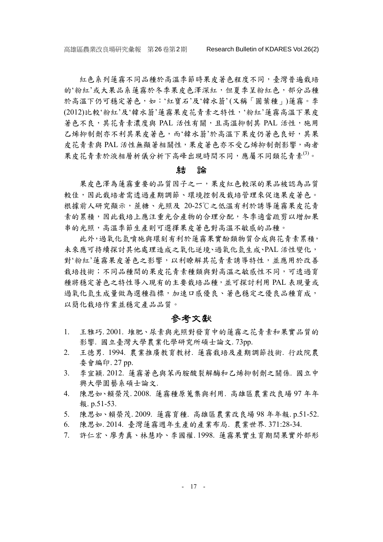紅色系列蓮霧不同品種於高溫季節時果皮著色程度不同,臺灣普遍栽培 的'粉紅'或大果品系蓮霧於冬季果皮色澤深紅,但夏季呈粉紅色,部分品種 於高溫下仍可穩定著色,如:'紅寶石'及'韓水蓊'(又稱「圓葉種」)蓮霧。李 (2012)比較'粉紅'及'韓水蓊'蓮霧果皮花青素之特性,'粉紅'蓮霧高溫下果皮 著色不良,其花青素濃度與 PAL 活性有關,且高溫抑制其 PAL 活性,施用 乙烯抑制劑亦不利其果皮著色,而'韓水蓊'於高溫下果皮仍著色良好,其果 皮花青素與 PAL 活性無顯著相關性,果皮著色亦不受乙烯抑制劑影響,兩者 果皮花青素於液相層析儀分析下高峰出現時間不同,應屬不同類花青素<sup>(3)</sup>。

#### 結論

果皮色澤為蓮霧重要的品質因子之一,果皮紅色較深的果品被認為品質 較佳,因此栽培者需透過產期調節、環境控制及栽培管理來促進果皮著色。 根據前人研究顯示,蔗糖、光照及 20-25℃之低溫有利於誘導蓮霧果皮花青 素的累積,因此栽培上應注重光合產物的合理分配,冬季適當疏剪以增加果 串的光照,高溫季節生產則可選擇果皮著色對高溫不敏感的品種。

此外,過氧化氫噴施與環刻有利於蓮霧果實酚類物質合成與花青素累積, 未來應可持續探討其他處理造成之氧化逆境、過氧化氫生成、PAL 活性變化, 對'粉紅'蓮霧果皮著色之影響,以利瞭解其花青素誘導特性,並應用於改善 栽培技術;不同品種間的果皮花青素種類與對高溫之敏感性不同,可透過育 種將穩定著色之特性導入現有的主要栽培品種,並可探討利用 PAL 表現量或 過氧化氫生成量做為選種指標,加速口感優良、著色穩定之優良品種育成, 以簡化栽培作業並穩定產品品質。

## 參考文獻

- 1. 王雅巧. 2001. 堆肥、尿素與光照對發育中的蓮霧之花青素和果實品質的 影響. 國立臺灣大學農業化學研究所碩士論文. 73pp.
- 2. 王德男. 1994. 農業推廣教育教材. 蓮霧栽培及產期調節技術. 行政院農 委會編印. 27 pp.
- 3. 李宜穎. 2012. 蓮霧著色與苯丙胺酸裂解酶和乙烯抑制劑之關係. 國立中 興大學園藝系碩士論文.
- 4. 陳思如、賴榮茂. 2008. 蓮霧種原蒐集與利用. 高雄區農業改良場 97 年年 報. p.51-53.
- 5. 陳思如、賴榮茂. 2009. 蓮霧育種. 高雄區農業改良場 98 年年報. p.51-52.
- 6. 陳思如. 2014. 臺灣蓮霧週年生產的產業布局. 農業世界. 371:28-34.
- 7. 許仁宏、廖秀真、林慧玲、李國權. 1998. 蓮霧果實生育期間果實外部形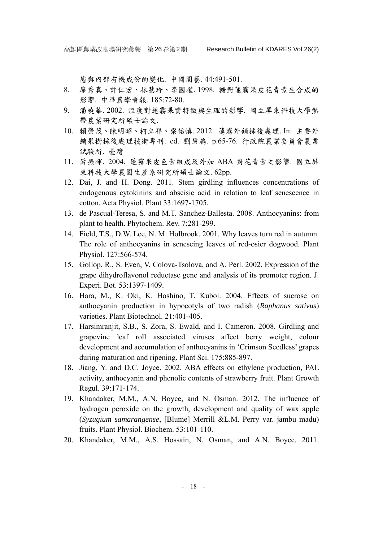態與內部有機成份的變化. 中國園藝. 44:491-501.

- 8. 廖秀真、許仁宏、林慧玲、李國權. 1998. 糖對蓮霧果皮花青素生合成的 影響. 中華農學會報. 185:72-80.
- 9. 潘曉華. 2002. 溫度對蓮霧果實特徵與生理的影響. 國立屏東科技大學熱 帶農業研究所碩士論文.
- 10. 賴榮茂、陳明昭、柯立祥、梁佑慎. 2012. 蓮霧外銷採後處理. In: 主要外 銷果樹採後處理技術專刊. ed. 劉碧鵑. p.65-76. 行政院農業委員會農業 試驗所. 臺灣
- 11. 薛振暉. 2004. 蓮霧果皮色素組成及外加 ABA 對花青素之影響. 國立屏 東科技大學農園生產系研究所碩士論文. 62pp.
- 12. Dai, J. and H. Dong. 2011. Stem girdling influences concentrations of endogenous cytokinins and abscisic acid in relation to leaf senescence in cotton. Acta Physiol. Plant 33:1697-1705.
- 13. de Pascual-Teresa, S. and M.T. Sanchez-Ballesta. 2008. Anthocyanins: from plant to health. Phytochem. Rev. 7:281-299.
- 14. Field, T.S., D.W. Lee, N. M. Holbrook. 2001. Why leaves turn red in autumn. The role of anthocyanins in senescing leaves of red-osier dogwood. Plant Physiol. 127:566-574.
- 15. Gollop, R., S. Even, V. Colova-Tsolova, and A. Perl. 2002. Expression of the grape dihydroflavonol reductase gene and analysis of its promoter region. J. Experi. Bot. 53:1397-1409.
- 16. Hara, M., K. Oki, K. Hoshino, T. Kuboi. 2004. Effects of sucrose on anthocyanin production in hypocotyls of two radish (*Raphanus sativus*) varieties. Plant Biotechnol. 21:401-405.
- 17. Harsimranjit, S.B., S. Zora, S. Ewald, and I. Cameron. 2008. Girdling and grapevine leaf roll associated viruses affect berry weight, colour development and accumulation of anthocyanins in 'Crimson Seedless' grapes during maturation and ripening. Plant Sci. 175:885-897.
- 18. Jiang, Y. and D.C. Joyce. 2002. ABA effects on ethylene production, PAL activity, anthocyanin and phenolic contents of strawberry fruit. Plant Growth Regul. 39:171-174.
- 19. Khandaker, M.M., A.N. Boyce, and N. Osman. 2012. The influence of hydrogen peroxide on the growth, development and quality of wax apple (*Syzugium samarangense*, [Blume] Merrill &L.M. Perry var. jambu madu) fruits. Plant Physiol. Biochem. 53:101-110.
- 20. Khandaker, M.M., A.S. Hossain, N. Osman, and A.N. Boyce. 2011.